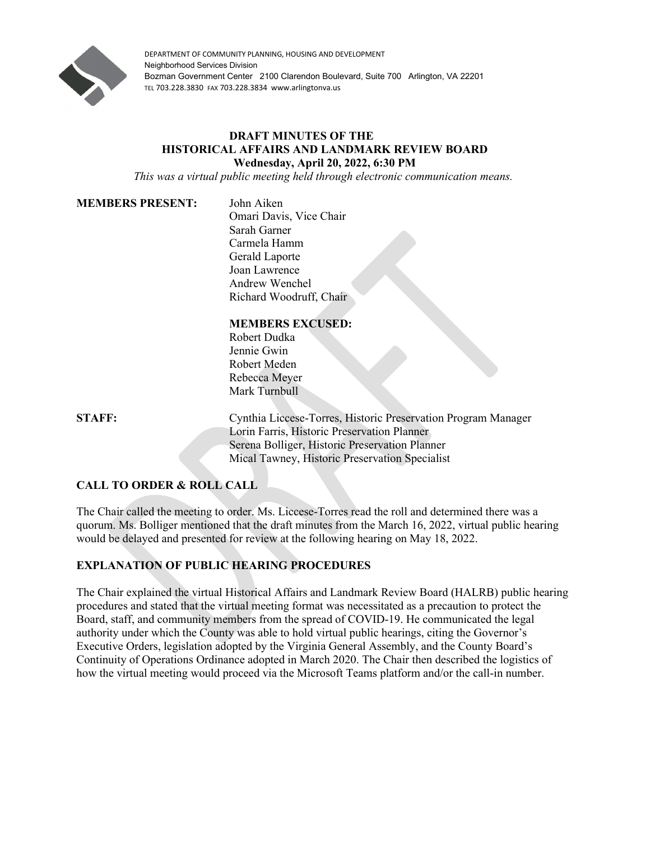

DEPARTMENT OF COMMUNITY PLANNING, HOUSING AND DEVELOPMENT Neighborhood Services Division Bozman Government Center 2100 Clarendon Boulevard, Suite 700 Arlington, VA 22201 TEL 703.228.3830 FAX 703.228.3834 www.arlingtonva.us

#### **DRAFT MINUTES OF THE HISTORICAL AFFAIRS AND LANDMARK REVIEW BOARD Wednesday, April 20, 2022, 6:30 PM**

*This was a virtual public meeting held through electronic communication means.*

#### **MEMBERS PRESENT:** John Aiken

Omari Davis, Vice Chair Sarah Garner Carmela Hamm Gerald Laporte Joan Lawrence Andrew Wenchel Richard Woodruff, Chair

## **MEMBERS EXCUSED:**

Robert Dudka Jennie Gwin Robert Meden Rebecca Meyer Mark Turnbull

**STAFF:** Cynthia Liccese-Torres, Historic Preservation Program Manager Lorin Farris, Historic Preservation Planner Serena Bolliger, Historic Preservation Planner Mical Tawney, Historic Preservation Specialist

# **CALL TO ORDER & ROLL CALL**

The Chair called the meeting to order. Ms. Liccese-Torres read the roll and determined there was a quorum. Ms. Bolliger mentioned that the draft minutes from the March 16, 2022, virtual public hearing would be delayed and presented for review at the following hearing on May 18, 2022.

## **EXPLANATION OF PUBLIC HEARING PROCEDURES**

The Chair explained the virtual Historical Affairs and Landmark Review Board (HALRB) public hearing procedures and stated that the virtual meeting format was necessitated as a precaution to protect the Board, staff, and community members from the spread of COVID-19. He communicated the legal authority under which the County was able to hold virtual public hearings, citing the Governor's Executive Orders, legislation adopted by the Virginia General Assembly, and the County Board's Continuity of Operations Ordinance adopted in March 2020. The Chair then described the logistics of how the virtual meeting would proceed via the Microsoft Teams platform and/or the call-in number.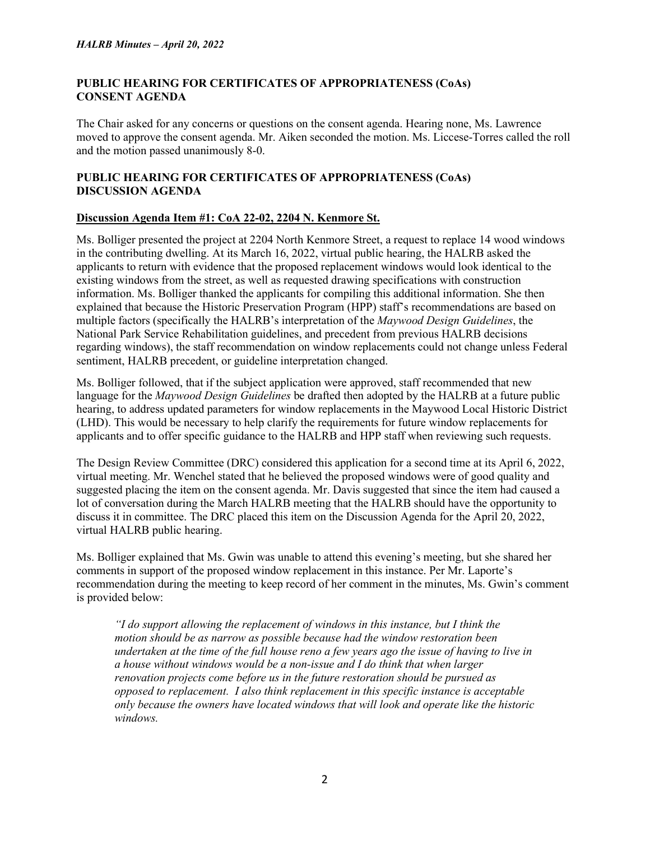## **PUBLIC HEARING FOR CERTIFICATES OF APPROPRIATENESS (CoAs) CONSENT AGENDA**

The Chair asked for any concerns or questions on the consent agenda. Hearing none, Ms. Lawrence moved to approve the consent agenda. Mr. Aiken seconded the motion. Ms. Liccese-Torres called the roll and the motion passed unanimously 8-0.

# **PUBLIC HEARING FOR CERTIFICATES OF APPROPRIATENESS (CoAs) DISCUSSION AGENDA**

### **Discussion Agenda Item #1: CoA 22-02, 2204 N. Kenmore St.**

Ms. Bolliger presented the project at 2204 North Kenmore Street, a request to replace 14 wood windows in the contributing dwelling. At its March 16, 2022, virtual public hearing, the HALRB asked the applicants to return with evidence that the proposed replacement windows would look identical to the existing windows from the street, as well as requested drawing specifications with construction information. Ms. Bolliger thanked the applicants for compiling this additional information. She then explained that because the Historic Preservation Program (HPP) staff's recommendations are based on multiple factors (specifically the HALRB's interpretation of the *Maywood Design Guidelines*, the National Park Service Rehabilitation guidelines, and precedent from previous HALRB decisions regarding windows), the staff recommendation on window replacements could not change unless Federal sentiment, HALRB precedent, or guideline interpretation changed.

Ms. Bolliger followed, that if the subject application were approved, staff recommended that new language for the *Maywood Design Guidelines* be drafted then adopted by the HALRB at a future public hearing, to address updated parameters for window replacements in the Maywood Local Historic District (LHD). This would be necessary to help clarify the requirements for future window replacements for applicants and to offer specific guidance to the HALRB and HPP staff when reviewing such requests.

The Design Review Committee (DRC) considered this application for a second time at its April 6, 2022, virtual meeting. Mr. Wenchel stated that he believed the proposed windows were of good quality and suggested placing the item on the consent agenda. Mr. Davis suggested that since the item had caused a lot of conversation during the March HALRB meeting that the HALRB should have the opportunity to discuss it in committee. The DRC placed this item on the Discussion Agenda for the April 20, 2022, virtual HALRB public hearing.

Ms. Bolliger explained that Ms. Gwin was unable to attend this evening's meeting, but she shared her comments in support of the proposed window replacement in this instance. Per Mr. Laporte's recommendation during the meeting to keep record of her comment in the minutes, Ms. Gwin's comment is provided below:

*"I do support allowing the replacement of windows in this instance, but I think the motion should be as narrow as possible because had the window restoration been undertaken at the time of the full house reno a few years ago the issue of having to live in a house without windows would be a non-issue and I do think that when larger renovation projects come before us in the future restoration should be pursued as opposed to replacement. I also think replacement in this specific instance is acceptable only because the owners have located windows that will look and operate like the historic windows.*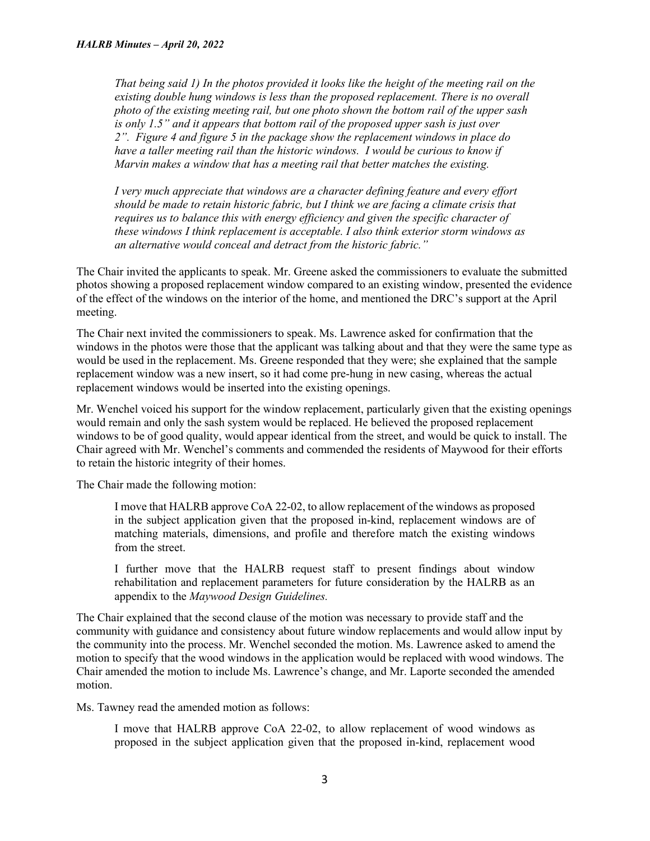*That being said 1) In the photos provided it looks like the height of the meeting rail on the existing double hung windows is less than the proposed replacement. There is no overall photo of the existing meeting rail, but one photo shown the bottom rail of the upper sash is only 1.5" and it appears that bottom rail of the proposed upper sash is just over 2". Figure 4 and figure 5 in the package show the replacement windows in place do have a taller meeting rail than the historic windows. I would be curious to know if Marvin makes a window that has a meeting rail that better matches the existing.*

*I very much appreciate that windows are a character defining feature and every effort should be made to retain historic fabric, but I think we are facing a climate crisis that requires us to balance this with energy efficiency and given the specific character of these windows I think replacement is acceptable. I also think exterior storm windows as an alternative would conceal and detract from the historic fabric."*

The Chair invited the applicants to speak. Mr. Greene asked the commissioners to evaluate the submitted photos showing a proposed replacement window compared to an existing window, presented the evidence of the effect of the windows on the interior of the home, and mentioned the DRC's support at the April meeting.

The Chair next invited the commissioners to speak. Ms. Lawrence asked for confirmation that the windows in the photos were those that the applicant was talking about and that they were the same type as would be used in the replacement. Ms. Greene responded that they were; she explained that the sample replacement window was a new insert, so it had come pre-hung in new casing, whereas the actual replacement windows would be inserted into the existing openings.

Mr. Wenchel voiced his support for the window replacement, particularly given that the existing openings would remain and only the sash system would be replaced. He believed the proposed replacement windows to be of good quality, would appear identical from the street, and would be quick to install. The Chair agreed with Mr. Wenchel's comments and commended the residents of Maywood for their efforts to retain the historic integrity of their homes.

The Chair made the following motion:

I move that HALRB approve CoA 22-02, to allow replacement of the windows as proposed in the subject application given that the proposed in-kind, replacement windows are of matching materials, dimensions, and profile and therefore match the existing windows from the street.

I further move that the HALRB request staff to present findings about window rehabilitation and replacement parameters for future consideration by the HALRB as an appendix to the *Maywood Design Guidelines.*

The Chair explained that the second clause of the motion was necessary to provide staff and the community with guidance and consistency about future window replacements and would allow input by the community into the process. Mr. Wenchel seconded the motion. Ms. Lawrence asked to amend the motion to specify that the wood windows in the application would be replaced with wood windows. The Chair amended the motion to include Ms. Lawrence's change, and Mr. Laporte seconded the amended motion.

Ms. Tawney read the amended motion as follows:

I move that HALRB approve CoA 22-02, to allow replacement of wood windows as proposed in the subject application given that the proposed in-kind, replacement wood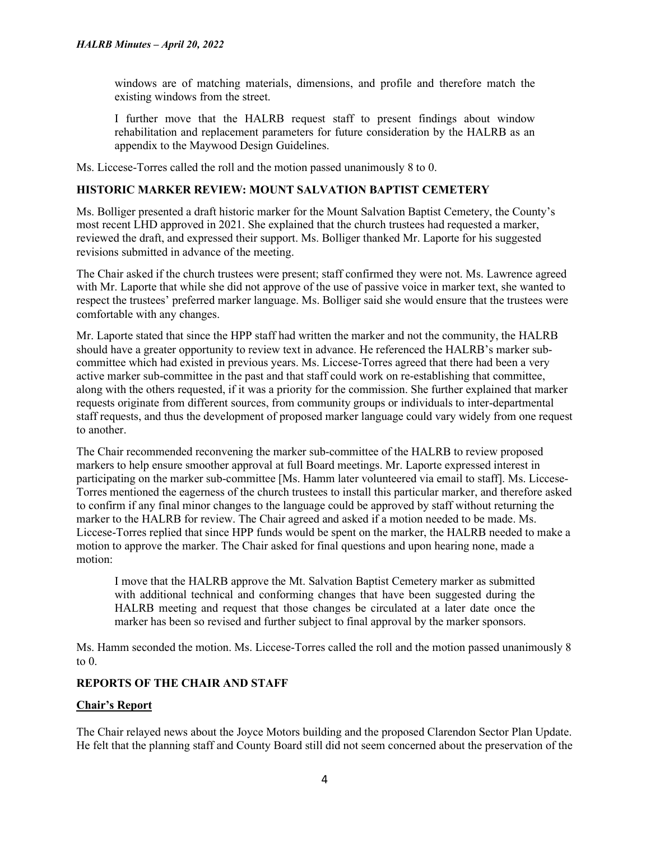windows are of matching materials, dimensions, and profile and therefore match the existing windows from the street.

I further move that the HALRB request staff to present findings about window rehabilitation and replacement parameters for future consideration by the HALRB as an appendix to the Maywood Design Guidelines.

Ms. Liccese-Torres called the roll and the motion passed unanimously 8 to 0.

# **HISTORIC MARKER REVIEW: MOUNT SALVATION BAPTIST CEMETERY**

Ms. Bolliger presented a draft historic marker for the Mount Salvation Baptist Cemetery, the County's most recent LHD approved in 2021. She explained that the church trustees had requested a marker, reviewed the draft, and expressed their support. Ms. Bolliger thanked Mr. Laporte for his suggested revisions submitted in advance of the meeting.

The Chair asked if the church trustees were present; staff confirmed they were not. Ms. Lawrence agreed with Mr. Laporte that while she did not approve of the use of passive voice in marker text, she wanted to respect the trustees' preferred marker language. Ms. Bolliger said she would ensure that the trustees were comfortable with any changes.

Mr. Laporte stated that since the HPP staff had written the marker and not the community, the HALRB should have a greater opportunity to review text in advance. He referenced the HALRB's marker subcommittee which had existed in previous years. Ms. Liccese-Torres agreed that there had been a very active marker sub-committee in the past and that staff could work on re-establishing that committee, along with the others requested, if it was a priority for the commission. She further explained that marker requests originate from different sources, from community groups or individuals to inter-departmental staff requests, and thus the development of proposed marker language could vary widely from one request to another.

The Chair recommended reconvening the marker sub-committee of the HALRB to review proposed markers to help ensure smoother approval at full Board meetings. Mr. Laporte expressed interest in participating on the marker sub-committee [Ms. Hamm later volunteered via email to staff]. Ms. Liccese-Torres mentioned the eagerness of the church trustees to install this particular marker, and therefore asked to confirm if any final minor changes to the language could be approved by staff without returning the marker to the HALRB for review. The Chair agreed and asked if a motion needed to be made. Ms. Liccese-Torres replied that since HPP funds would be spent on the marker, the HALRB needed to make a motion to approve the marker. The Chair asked for final questions and upon hearing none, made a motion:

I move that the HALRB approve the Mt. Salvation Baptist Cemetery marker as submitted with additional technical and conforming changes that have been suggested during the HALRB meeting and request that those changes be circulated at a later date once the marker has been so revised and further subject to final approval by the marker sponsors.

Ms. Hamm seconded the motion. Ms. Liccese-Torres called the roll and the motion passed unanimously 8 to 0.

# **REPORTS OF THE CHAIR AND STAFF**

#### **Chair's Report**

The Chair relayed news about the Joyce Motors building and the proposed Clarendon Sector Plan Update. He felt that the planning staff and County Board still did not seem concerned about the preservation of the